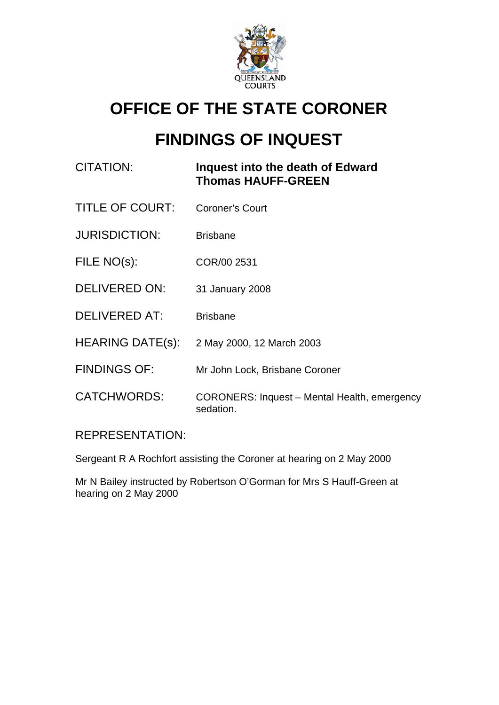

## **OFFICE OF THE STATE CORONER**

# **FINDINGS OF INQUEST**

### CITATION: **Inquest into the death of Edward Thomas HAUFF-GREEN**

- TITLE OF COURT: Coroner's Court
- JURISDICTION: Brisbane
- FILE NO(s): COR/00 2531
- DELIVERED ON: 31 January 2008
- DELIVERED AT: Brisbane
- HEARING DATE(s): 2 May 2000, 12 March 2003
- FINDINGS OF: Mr John Lock, Brisbane Coroner
- CATCHWORDS: CORONERS: Inquest Mental Health, emergency sedation.

### REPRESENTATION:

Sergeant R A Rochfort assisting the Coroner at hearing on 2 May 2000

Mr N Bailey instructed by Robertson O'Gorman for Mrs S Hauff-Green at hearing on 2 May 2000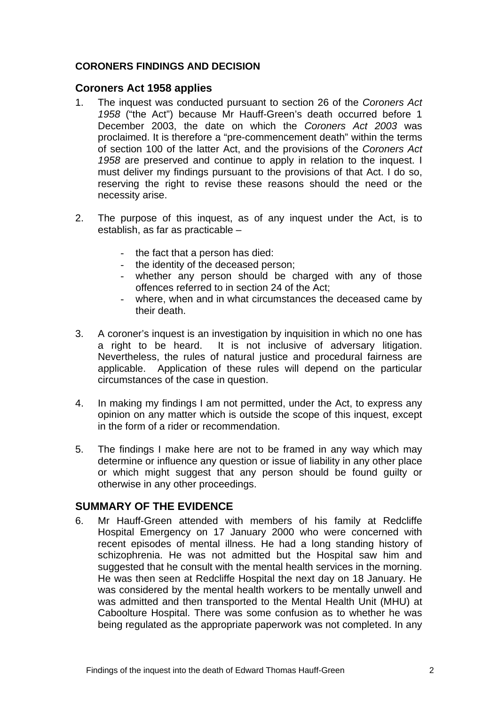#### **CORONERS FINDINGS AND DECISION**

#### **Coroners Act 1958 applies**

- 1. The inquest was conducted pursuant to section 26 of the *Coroners Act 1958* ("the Act") because Mr Hauff-Green's death occurred before 1 December 2003, the date on which the *Coroners Act 2003* was proclaimed. It is therefore a "pre-commencement death" within the terms of section 100 of the latter Act, and the provisions of the *Coroners Act 1958* are preserved and continue to apply in relation to the inquest. I must deliver my findings pursuant to the provisions of that Act. I do so, reserving the right to revise these reasons should the need or the necessity arise.
- 2. The purpose of this inquest, as of any inquest under the Act, is to establish, as far as practicable –
	- the fact that a person has died:
	- the identity of the deceased person;
	- whether any person should be charged with any of those offences referred to in section 24 of the Act;
	- where, when and in what circumstances the deceased came by their death.
- 3. A coroner's inquest is an investigation by inquisition in which no one has a right to be heard. It is not inclusive of adversary litigation. Nevertheless, the rules of natural justice and procedural fairness are applicable. Application of these rules will depend on the particular circumstances of the case in question.
- 4. In making my findings I am not permitted, under the Act, to express any opinion on any matter which is outside the scope of this inquest, except in the form of a rider or recommendation.
- 5. The findings I make here are not to be framed in any way which may determine or influence any question or issue of liability in any other place or which might suggest that any person should be found guilty or otherwise in any other proceedings.

#### **SUMMARY OF THE EVIDENCE**

6. Mr Hauff-Green attended with members of his family at Redcliffe Hospital Emergency on 17 January 2000 who were concerned with recent episodes of mental illness. He had a long standing history of schizophrenia. He was not admitted but the Hospital saw him and suggested that he consult with the mental health services in the morning. He was then seen at Redcliffe Hospital the next day on 18 January. He was considered by the mental health workers to be mentally unwell and was admitted and then transported to the Mental Health Unit (MHU) at Caboolture Hospital. There was some confusion as to whether he was being regulated as the appropriate paperwork was not completed. In any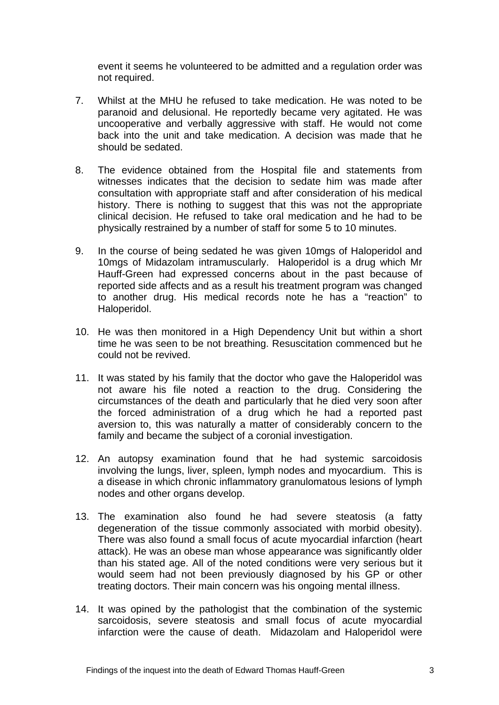event it seems he volunteered to be admitted and a regulation order was not required.

- 7. Whilst at the MHU he refused to take medication. He was noted to be paranoid and delusional. He reportedly became very agitated. He was uncooperative and verbally aggressive with staff. He would not come back into the unit and take medication. A decision was made that he should be sedated.
- 8. The evidence obtained from the Hospital file and statements from witnesses indicates that the decision to sedate him was made after consultation with appropriate staff and after consideration of his medical history. There is nothing to suggest that this was not the appropriate clinical decision. He refused to take oral medication and he had to be physically restrained by a number of staff for some 5 to 10 minutes.
- 9. In the course of being sedated he was given 10mgs of Haloperidol and 10mgs of Midazolam intramuscularly. Haloperidol is a drug which Mr Hauff-Green had expressed concerns about in the past because of reported side affects and as a result his treatment program was changed to another drug. His medical records note he has a "reaction" to Haloperidol.
- 10. He was then monitored in a High Dependency Unit but within a short time he was seen to be not breathing. Resuscitation commenced but he could not be revived.
- 11. It was stated by his family that the doctor who gave the Haloperidol was not aware his file noted a reaction to the drug. Considering the circumstances of the death and particularly that he died very soon after the forced administration of a drug which he had a reported past aversion to, this was naturally a matter of considerably concern to the family and became the subject of a coronial investigation.
- 12. An autopsy examination found that he had systemic sarcoidosis involving the lungs, liver, spleen, lymph nodes and myocardium. This is a disease in which chronic inflammatory granulomatous lesions of lymph nodes and other organs develop.
- 13. The examination also found he had severe steatosis (a fatty degeneration of the tissue commonly associated with morbid obesity). There was also found a small focus of acute myocardial infarction (heart attack). He was an obese man whose appearance was significantly older than his stated age. All of the noted conditions were very serious but it would seem had not been previously diagnosed by his GP or other treating doctors. Their main concern was his ongoing mental illness.
- 14. It was opined by the pathologist that the combination of the systemic sarcoidosis, severe steatosis and small focus of acute myocardial infarction were the cause of death. Midazolam and Haloperidol were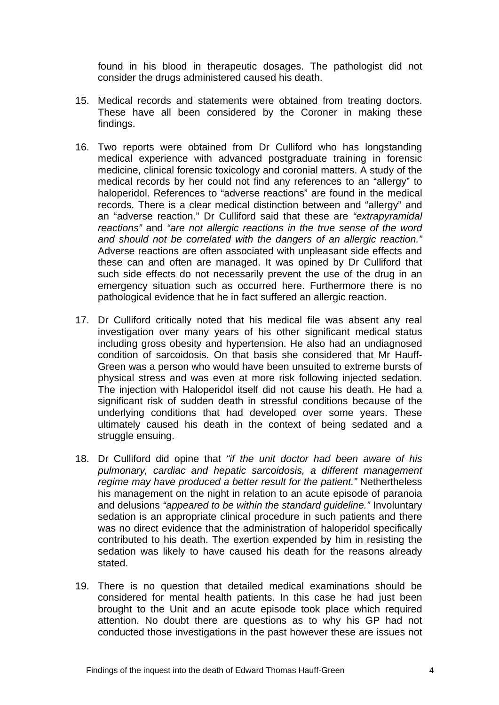found in his blood in therapeutic dosages. The pathologist did not consider the drugs administered caused his death.

- 15. Medical records and statements were obtained from treating doctors. These have all been considered by the Coroner in making these findings.
- 16. Two reports were obtained from Dr Culliford who has longstanding medical experience with advanced postgraduate training in forensic medicine, clinical forensic toxicology and coronial matters. A study of the medical records by her could not find any references to an "allergy" to haloperidol. References to "adverse reactions" are found in the medical records. There is a clear medical distinction between and "allergy" and an "adverse reaction." Dr Culliford said that these are *"extrapyramidal reactions"* and *"are not allergic reactions in the true sense of the word and should not be correlated with the dangers of an allergic reaction."* Adverse reactions are often associated with unpleasant side effects and these can and often are managed. It was opined by Dr Culliford that such side effects do not necessarily prevent the use of the drug in an emergency situation such as occurred here. Furthermore there is no pathological evidence that he in fact suffered an allergic reaction.
- 17. Dr Culliford critically noted that his medical file was absent any real investigation over many years of his other significant medical status including gross obesity and hypertension. He also had an undiagnosed condition of sarcoidosis. On that basis she considered that Mr Hauff-Green was a person who would have been unsuited to extreme bursts of physical stress and was even at more risk following injected sedation. The injection with Haloperidol itself did not cause his death. He had a significant risk of sudden death in stressful conditions because of the underlying conditions that had developed over some years. These ultimately caused his death in the context of being sedated and a struggle ensuing.
- 18. Dr Culliford did opine that *"if the unit doctor had been aware of his pulmonary, cardiac and hepatic sarcoidosis, a different management regime may have produced a better result for the patient."* Nethertheless his management on the night in relation to an acute episode of paranoia and delusions *"appeared to be within the standard guideline."* Involuntary sedation is an appropriate clinical procedure in such patients and there was no direct evidence that the administration of haloperidol specifically contributed to his death. The exertion expended by him in resisting the sedation was likely to have caused his death for the reasons already stated.
- 19. There is no question that detailed medical examinations should be considered for mental health patients. In this case he had just been brought to the Unit and an acute episode took place which required attention. No doubt there are questions as to why his GP had not conducted those investigations in the past however these are issues not